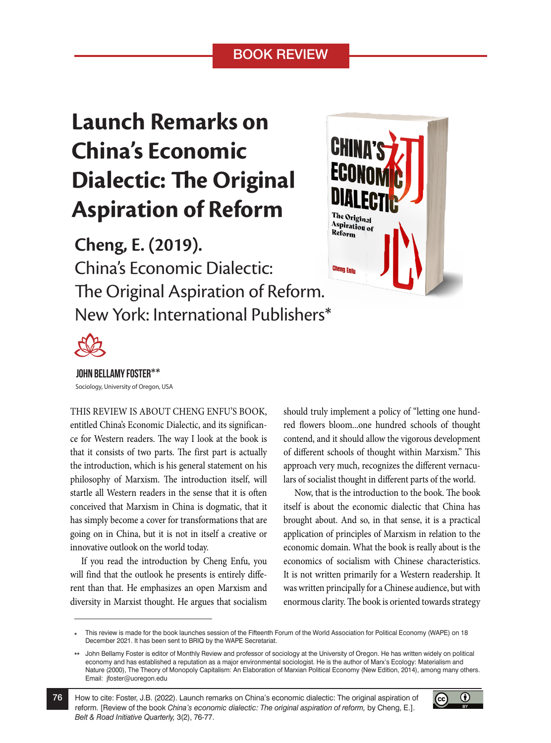## BOOK REVIEW

## **Launch Remarks on China's Economic Dialectic: The Original Aspiration of Reform**

**Cheng, E. (2019).**  China's Economic Dialectic: The Original Aspiration of Reform. New York: International Publishers\*





## JOHN BELLAMY FOSTER\*\*

Sociology, University of Oregon, USA

THIS REVIEW IS ABOUT CHENG ENFU'S BOOK, entitled China's Economic Dialectic, and its significance for Western readers. The way I look at the book is that it consists of two parts. The first part is actually the introduction, which is his general statement on his philosophy of Marxism. The introduction itself, will startle all Western readers in the sense that it is often conceived that Marxism in China is dogmatic, that it has simply become a cover for transformations that are going on in China, but it is not in itself a creative or innovative outlook on the world today.

If you read the introduction by Cheng Enfu, you will find that the outlook he presents is entirely different than that. He emphasizes an open Marxism and diversity in Marxist thought. He argues that socialism should truly implement a policy of "letting one hundred flowers bloom...one hundred schools of thought contend, and it should allow the vigorous development of different schools of thought within Marxism." This approach very much, recognizes the different vernaculars of socialist thought in different parts of the world.

Now, that is the introduction to the book. The book itself is about the economic dialectic that China has brought about. And so, in that sense, it is a practical application of principles of Marxism in relation to the economic domain. What the book is really about is the economics of socialism with Chinese characteristics. It is not written primarily for a Western readership. It was written principally for a Chinese audience, but with enormous clarity. The book is oriented towards strategy

This review is made for the book launches session of the Fifteenth Forum of the World Association for Political Economy (WAPE) on 18 December 2021. It has been sent to BRIQ by the WAPE Secretariat. **\***

How to cite: Foster, J.B. (2022). Launch remarks on China's economic dialectic: The original aspiration of reform. [Review of the book *China's economic dialectic: The original aspiration of reform,* by Cheng, E.]. *Belt & Road Initiative Quarterly,* 3(2), 76-77.



John Bellamy Foster is editor of Monthly Review and professor of sociology at the University of Oregon. He has written widely on political economy and has established a reputation as a major environmental sociologist. He is the author of Marx's Ecology: Materialism and Nature (2000), The Theory of Monopoly Capitalism: An Elaboration of Marxian Political Economy (New Edition, 2014), among many others. Email: jfoster@uoregon.edu **\*\***

<sup>76</sup>